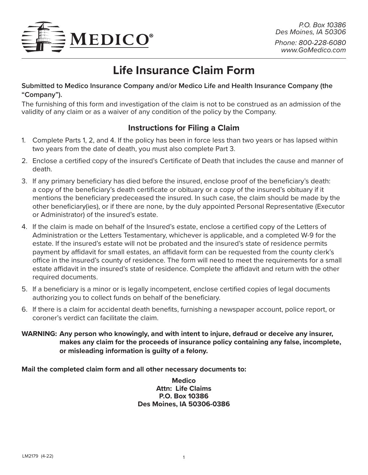

# **Life Insurance Claim Form**

## **Submitted to Medico Insurance Company and/or Medico Life and Health Insurance Company (the "Company").**

The furnishing of this form and investigation of the claim is not to be construed as an admission of the validity of any claim or as a waiver of any condition of the policy by the Company.

# **Instructions for Filing a Claim**

- 1. Complete Parts 1, 2, and 4. If the policy has been in force less than two years or has lapsed within two years from the date of death, you must also complete Part 3.
- 2. Enclose a certified copy of the insured's Certificate of Death that includes the cause and manner of death.
- 3. If any primary beneficiary has died before the insured, enclose proof of the beneficiary's death: a copy of the beneficiary's death certificate or obituary or a copy of the insured's obituary if it mentions the beneficiary predeceased the insured. In such case, the claim should be made by the other beneficiary(ies), or if there are none, by the duly appointed Personal Representative (Executor or Administrator) of the insured's estate.
- 4. If the claim is made on behalf of the Insured's estate, enclose a certified copy of the Letters of Administration or the Letters Testamentary, whichever is applicable, and a completed W-9 for the estate. If the insured's estate will not be probated and the insured's state of residence permits payment by affidavit for small estates, an affidavit form can be requested from the county clerk's office in the insured's county of residence. The form will need to meet the requirements for a small estate affidavit in the insured's state of residence. Complete the affidavit and return with the other required documents.
- 5. If a beneficiary is a minor or is legally incompetent, enclose certified copies of legal documents authorizing you to collect funds on behalf of the beneficiary.
- 6. If there is a claim for accidental death benefits, furnishing a newspaper account, police report, or coroner's verdict can facilitate the claim.

**WARNING: Any person who knowingly, and with intent to injure, defraud or deceive any insurer, makes any claim for the proceeds of insurance policy containing any false, incomplete, or misleading information is guilty of a felony.** 

**Mail the completed claim form and all other necessary documents to:**

**Medico Attn: Life Claims P.O. Box 10386 Des Moines, IA 50306-0386**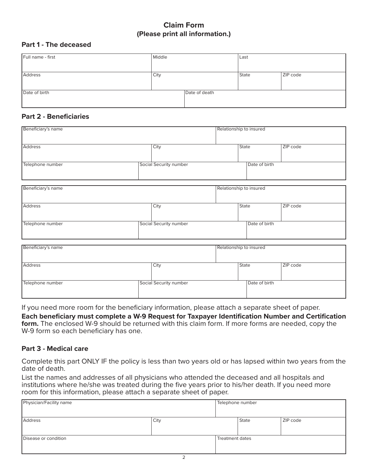## **Claim Form (Please print all information.)**

#### **Part 1 - The deceased**

| Full name - first | Middle |               | Last  |          |
|-------------------|--------|---------------|-------|----------|
|                   |        |               |       |          |
| Address           | City   |               | State | ZIP code |
|                   |        |               |       |          |
|                   |        |               |       |          |
| Date of birth     |        | Date of death |       |          |
|                   |        |               |       |          |
|                   |        |               |       |          |

#### **Part 2 - Beneficiaries**

| Beneficiary's name |                        | Relationship to insured |            |
|--------------------|------------------------|-------------------------|------------|
| Address            | City                   | <b>State</b>            | ZIP code   |
| Telephone number   | Social Security number | Date of birth           |            |
| Beneficiary's name |                        | Relationship to insured |            |
| Address            | City                   | <b>State</b>            | ZIP code   |
| Telephone number   | Social Security number | Date of birth           |            |
| Beneficiary's name |                        | Relationship to insured |            |
| Address            | City                   | State                   | $ZIP$ code |
| Telephone number   | Social Security number | Date of birth           |            |

If you need more room for the beneficiary information, please attach a separate sheet of paper.

**Each beneficiary must complete a W-9 Request for Taxpayer Identification Number and Certification form.** The enclosed W-9 should be returned with this claim form. If more forms are needed, copy the W-9 form so each beneficiary has one.

#### **Part 3 - Medical care**

Complete this part ONLY IF the policy is less than two years old or has lapsed within two years from the date of death.

List the names and addresses of all physicians who attended the deceased and all hospitals and institutions where he/she was treated during the five years prior to his/her death. If you need more room for this information, please attach a separate sheet of paper.

| Physician/Facility name |      | Telephone number |              |          |
|-------------------------|------|------------------|--------------|----------|
| Address                 | City |                  | <b>State</b> | ZIP code |
| Disease or condition    |      | Treatment dates  |              |          |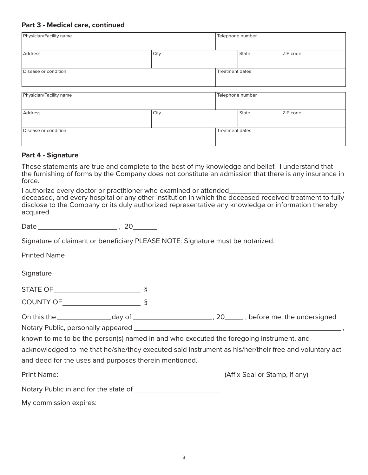#### **Part 3 - Medical care, continued**

| Physician/Facility name |      | Telephone number |       |          |
|-------------------------|------|------------------|-------|----------|
| Address                 | City |                  | State | ZIP code |
| Disease or condition    |      | Treatment dates  |       |          |
| Physician/Facility name |      | Telephone number |       |          |
|                         |      |                  |       |          |
| Address                 | City |                  | State | ZIP code |
| Disease or condition    |      | Treatment dates  |       |          |

#### **Part 4 - Signature**

These statements are true and complete to the best of my knowledge and belief. I understand that the furnishing of forms by the Company does not constitute an admission that there is any insurance in force.

I authorize every doctor or practitioner who examined or attended deceased, and every hospital or any other institution in which the deceased received treatment to fully

disclose to the Company or its duly authorized representative any knowledge or information thereby acquired.

Date , 20

Signature of claimant or beneficiary PLEASE NOTE: Signature must be notarized.

Printed Name

Signature

STATE OF §

COUNTY OF <u>\_\_\_\_\_\_\_\_\_\_\_\_\_\_\_\_\_\_\_\_\_\_\_\_</u> §

| On this the | dav of |  | , before me, the undersigned |
|-------------|--------|--|------------------------------|
|-------------|--------|--|------------------------------|

Notary Public, personally appeared **contained** and the contact of the contact of the contact of the contact of the contact of the contact of the contact of the contact of the contact of the contact of the contact of the co

known to me to be the person(s) named in and who executed the foregoing instrument, and

acknowledged to me that he/she/they executed said instrument as his/her/their free and voluntary act and deed for the uses and purposes therein mentioned.

Print Name: (Affix Seal or Stamp, if any)

| Notary Public in and for the state of |
|---------------------------------------|
|---------------------------------------|

My commission expires: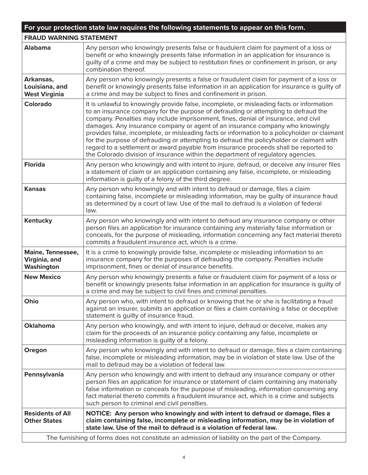| For your protection state law requires the following statements to appear on this form.           |                                                                                                                                                                                                                                                                                                                                                                                                                                                                                                                                                                                                                                                                                                                                |  |
|---------------------------------------------------------------------------------------------------|--------------------------------------------------------------------------------------------------------------------------------------------------------------------------------------------------------------------------------------------------------------------------------------------------------------------------------------------------------------------------------------------------------------------------------------------------------------------------------------------------------------------------------------------------------------------------------------------------------------------------------------------------------------------------------------------------------------------------------|--|
| <b>FRAUD WARNING STATEMENT</b>                                                                    |                                                                                                                                                                                                                                                                                                                                                                                                                                                                                                                                                                                                                                                                                                                                |  |
| <b>Alabama</b>                                                                                    | Any person who knowingly presents false or fraudulent claim for payment of a loss or<br>benefit or who knowingly presents false information in an application for insurance is<br>guilty of a crime and may be subject to restitution fines or confinement in prison, or any<br>combination thereof.                                                                                                                                                                                                                                                                                                                                                                                                                           |  |
| Arkansas,<br>Louisiana, and<br><b>West Virginia</b>                                               | Any person who knowingly presents a false or fraudulent claim for payment of a loss or<br>benefit or knowingly presents false information in an application for insurance is guilty of<br>a crime and may be subject to fines and confinement in prison.                                                                                                                                                                                                                                                                                                                                                                                                                                                                       |  |
| <b>Colorado</b>                                                                                   | It is unlawful to knowingly provide false, incomplete, or misleading facts or information<br>to an insurance company for the purpose of defrauding or attempting to defraud the<br>company. Penalties may include imprisonment, fines, denial of insurance, and civil<br>damages. Any insurance company or agent of an insurance company who knowingly<br>provides false, incomplete, or misleading facts or information to a policyholder or claimant<br>for the purpose of defrauding or attempting to defraud the policyholder or claimant with<br>regard to a settlement or award payable from insurance proceeds shall be reported to<br>the Colorado division of insurance within the department of regulatory agencies. |  |
| <b>Florida</b>                                                                                    | Any person who knowingly and with intent to injure, defraud, or deceive any insurer files<br>a statement of claim or an application containing any false, incomplete, or misleading<br>information is guilty of a felony of the third degree.                                                                                                                                                                                                                                                                                                                                                                                                                                                                                  |  |
| <b>Kansas</b>                                                                                     | Any person who knowingly and with intent to defraud or damage, files a claim<br>containing false, incomplete or misleading information, may be guilty of insurance fraud<br>as determined by a court of law. Use of the mail to defraud is a violation of federal<br>law.                                                                                                                                                                                                                                                                                                                                                                                                                                                      |  |
| <b>Kentucky</b>                                                                                   | Any person who knowingly and with intent to defraud any insurance company or other<br>person files an application for insurance containing any materially false information or<br>conceals, for the purpose of misleading, information concerning any fact material thereto<br>commits a fraudulent insurance act, which is a crime.                                                                                                                                                                                                                                                                                                                                                                                           |  |
| Maine, Tennessee,<br>Virginia, and<br>Washington                                                  | It is a crime to knowingly provide false, incomplete or misleading information to an<br>insurance company for the purposes of defrauding the company. Penalties include<br>imprisonment, fines or denial of insurance benefits.                                                                                                                                                                                                                                                                                                                                                                                                                                                                                                |  |
| <b>New Mexico</b>                                                                                 | Any person who knowingly presents a false or fraudulent claim for payment of a loss or<br>benefit or knowingly presents false information in an application for insurance is guilty of<br>a crime and may be subject to civil fines and criminal penalties.                                                                                                                                                                                                                                                                                                                                                                                                                                                                    |  |
| Ohio                                                                                              | Any person who, with intent to defraud or knowing that he or she is facilitating a fraud<br>against an insurer, submits an application or files a claim containing a false or deceptive<br>statement is guilty of insurance fraud.                                                                                                                                                                                                                                                                                                                                                                                                                                                                                             |  |
| <b>Oklahoma</b>                                                                                   | Any person who knowingly, and with intent to injure, defraud or deceive, makes any<br>claim for the proceeds of an insurance policy containing any false, incomplete or<br>misleading information is guilty of a felony.                                                                                                                                                                                                                                                                                                                                                                                                                                                                                                       |  |
| Oregon                                                                                            | Any person who knowingly and with intent to defraud or damage, files a claim containing<br>false, incomplete or misleading information, may be in violation of state law. Use of the<br>mail to defraud may be a violation of federal law.                                                                                                                                                                                                                                                                                                                                                                                                                                                                                     |  |
| Pennsylvania                                                                                      | Any person who knowingly and with intent to defraud any insurance company or other<br>person files an application for insurance or statement of claim containing any materially<br>false information or conceals for the purpose of misleading, information concerning any<br>fact material thereto commits a fraudulent insurance act, which is a crime and subjects<br>such person to criminal and civil penalties.                                                                                                                                                                                                                                                                                                          |  |
| <b>Residents of All</b><br><b>Other States</b>                                                    | NOTICE: Any person who knowingly and with intent to defraud or damage, files a<br>claim containing false, incomplete or misleading information, may be in violation of<br>state law. Use of the mail to defraud is a violation of federal law.                                                                                                                                                                                                                                                                                                                                                                                                                                                                                 |  |
| The furnishing of forms does not constitute an admission of liability on the part of the Company. |                                                                                                                                                                                                                                                                                                                                                                                                                                                                                                                                                                                                                                                                                                                                |  |